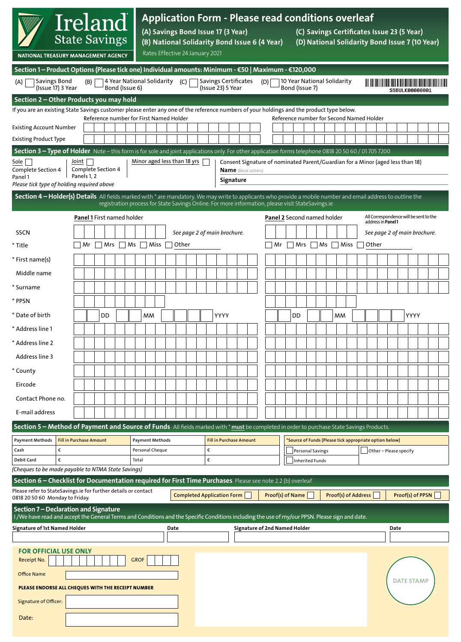| Ireland<br><b>State Savings</b><br>NATIONAL TREASURY MANAGEMENT AGENCY                                                                                                                                                                                             |                                                                                                                                                                                       |                                                                                                                                                                                                                  |  |                                         |  |       | <b>Application Form - Please read conditions overleaf</b><br>(A) Savings Bond Issue 17 (3 Year)<br>(C) Savings Certificates Issue 23 (5 Year)<br>(B) National Solidarity Bond Issue 6 (4 Year)<br>(D) National Solidarity Bond Issue 7 (10 Year)<br>Rates Effective 24 January 2021 |  |      |  |                                                                                                                            |                              |      |                                |  |                             |                  |  |                  |                                          |                                                              |                       |  |                     |  |       |                                        |                              |                  |                                                         |  |  |  |  |  |
|--------------------------------------------------------------------------------------------------------------------------------------------------------------------------------------------------------------------------------------------------------------------|---------------------------------------------------------------------------------------------------------------------------------------------------------------------------------------|------------------------------------------------------------------------------------------------------------------------------------------------------------------------------------------------------------------|--|-----------------------------------------|--|-------|-------------------------------------------------------------------------------------------------------------------------------------------------------------------------------------------------------------------------------------------------------------------------------------|--|------|--|----------------------------------------------------------------------------------------------------------------------------|------------------------------|------|--------------------------------|--|-----------------------------|------------------|--|------------------|------------------------------------------|--------------------------------------------------------------|-----------------------|--|---------------------|--|-------|----------------------------------------|------------------------------|------------------|---------------------------------------------------------|--|--|--|--|--|
| <b>Savings Bond</b><br>(A)<br>(Issue 17) 3 Year                                                                                                                                                                                                                    | 4 Year National Solidarity (C)                                                                                                                                                        | Section 1 - Product Options (Please tick one) Individual amounts: Minimum - €50   Maximum - €120,000<br><b>Savings Certificates</b><br>10 Year National Solidarity<br>(D)<br>(Issue 23) 5 Year<br>Bond (Issue 7) |  |                                         |  |       |                                                                                                                                                                                                                                                                                     |  |      |  |                                                                                                                            |                              |      | SSBIIL KAAAAAAA1               |  |                             |                  |  |                  |                                          |                                                              |                       |  |                     |  |       |                                        |                              |                  |                                                         |  |  |  |  |  |
| Section 2 - Other Products you may hold                                                                                                                                                                                                                            |                                                                                                                                                                                       |                                                                                                                                                                                                                  |  |                                         |  |       |                                                                                                                                                                                                                                                                                     |  |      |  |                                                                                                                            |                              |      |                                |  |                             |                  |  |                  |                                          |                                                              |                       |  |                     |  |       |                                        |                              |                  |                                                         |  |  |  |  |  |
| If you are an existing State Savings customer please enter any one of the reference numbers of your holdings and the product type below.                                                                                                                           |                                                                                                                                                                                       |                                                                                                                                                                                                                  |  | Reference number for First Named Holder |  |       |                                                                                                                                                                                                                                                                                     |  |      |  |                                                                                                                            |                              |      |                                |  |                             |                  |  |                  | Reference number for Second Named Holder |                                                              |                       |  |                     |  |       |                                        |                              |                  |                                                         |  |  |  |  |  |
| <b>Existing Account Number</b>                                                                                                                                                                                                                                     |                                                                                                                                                                                       |                                                                                                                                                                                                                  |  |                                         |  |       |                                                                                                                                                                                                                                                                                     |  |      |  |                                                                                                                            |                              |      |                                |  |                             |                  |  |                  |                                          |                                                              |                       |  |                     |  |       |                                        |                              |                  |                                                         |  |  |  |  |  |
| <b>Existing Product Type</b>                                                                                                                                                                                                                                       |                                                                                                                                                                                       |                                                                                                                                                                                                                  |  |                                         |  |       |                                                                                                                                                                                                                                                                                     |  |      |  |                                                                                                                            |                              |      |                                |  |                             |                  |  |                  |                                          |                                                              |                       |  |                     |  |       |                                        |                              |                  |                                                         |  |  |  |  |  |
|                                                                                                                                                                                                                                                                    | Section 3 - Type of Holder Note - this form is for sole and joint applications only. For other application forms telephone 0818 20 50 60 / 01 705 7200<br>Minor aged less than 18 yrs |                                                                                                                                                                                                                  |  |                                         |  |       |                                                                                                                                                                                                                                                                                     |  |      |  |                                                                                                                            |                              |      |                                |  |                             |                  |  |                  |                                          |                                                              |                       |  |                     |  |       |                                        |                              |                  |                                                         |  |  |  |  |  |
| Joint<br>Sole  <br>Complete Section 4<br>Complete Section 4<br>Panels 1, 2<br>Panel 1                                                                                                                                                                              |                                                                                                                                                                                       |                                                                                                                                                                                                                  |  |                                         |  |       |                                                                                                                                                                                                                                                                                     |  |      |  | Consent Signature of nominated Parent/Guardian for a Minor (aged less than 18)<br><b>Name</b> (Block Letters)<br>Signature |                              |      |                                |  |                             |                  |  |                  |                                          |                                                              |                       |  |                     |  |       |                                        |                              |                  |                                                         |  |  |  |  |  |
| Please tick type of holding required above                                                                                                                                                                                                                         |                                                                                                                                                                                       |                                                                                                                                                                                                                  |  |                                         |  |       |                                                                                                                                                                                                                                                                                     |  |      |  |                                                                                                                            |                              |      |                                |  |                             |                  |  |                  |                                          |                                                              |                       |  |                     |  |       |                                        |                              |                  |                                                         |  |  |  |  |  |
| Section 4 - Holder(s) Details All fields marked with * are mandatory. We may write to applicants who provide a mobile number and email address to outline the<br>registration process for State Savings Online. For more information, please visit StateSavings.ie |                                                                                                                                                                                       |                                                                                                                                                                                                                  |  |                                         |  |       |                                                                                                                                                                                                                                                                                     |  |      |  |                                                                                                                            |                              |      |                                |  |                             |                  |  |                  |                                          |                                                              |                       |  |                     |  |       |                                        |                              |                  |                                                         |  |  |  |  |  |
|                                                                                                                                                                                                                                                                    | <b>Panel 1 First named holder</b>                                                                                                                                                     |                                                                                                                                                                                                                  |  |                                         |  |       |                                                                                                                                                                                                                                                                                     |  |      |  |                                                                                                                            |                              |      |                                |  | Panel 2 Second named holder |                  |  |                  |                                          | All Correspondence will be sent to the<br>address in Panel 1 |                       |  |                     |  |       |                                        |                              |                  |                                                         |  |  |  |  |  |
| SSCN                                                                                                                                                                                                                                                               |                                                                                                                                                                                       |                                                                                                                                                                                                                  |  |                                         |  |       |                                                                                                                                                                                                                                                                                     |  |      |  |                                                                                                                            | See page 2 of main brochure. |      |                                |  |                             |                  |  |                  |                                          |                                                              |                       |  |                     |  |       |                                        | See page 2 of main brochure. |                  |                                                         |  |  |  |  |  |
| Mr<br>Mrs<br>* Title                                                                                                                                                                                                                                               |                                                                                                                                                                                       |                                                                                                                                                                                                                  |  |                                         |  | Ms    | Miss<br>Other                                                                                                                                                                                                                                                                       |  |      |  |                                                                                                                            |                              |      |                                |  |                             | $\mid$ Mrs<br>Mr |  |                  |                                          |                                                              | $\neg$ Ms $\neg$ Miss |  |                     |  | Other |                                        |                              |                  |                                                         |  |  |  |  |  |
| * First name(s)                                                                                                                                                                                                                                                    |                                                                                                                                                                                       |                                                                                                                                                                                                                  |  |                                         |  |       |                                                                                                                                                                                                                                                                                     |  |      |  |                                                                                                                            |                              |      |                                |  |                             |                  |  |                  |                                          |                                                              |                       |  |                     |  |       |                                        |                              |                  |                                                         |  |  |  |  |  |
| Middle name                                                                                                                                                                                                                                                        |                                                                                                                                                                                       |                                                                                                                                                                                                                  |  |                                         |  |       |                                                                                                                                                                                                                                                                                     |  |      |  |                                                                                                                            |                              |      |                                |  |                             |                  |  |                  |                                          |                                                              |                       |  |                     |  |       |                                        |                              |                  |                                                         |  |  |  |  |  |
| * Surname                                                                                                                                                                                                                                                          |                                                                                                                                                                                       |                                                                                                                                                                                                                  |  |                                         |  |       |                                                                                                                                                                                                                                                                                     |  |      |  |                                                                                                                            |                              |      |                                |  |                             |                  |  |                  |                                          |                                                              |                       |  |                     |  |       |                                        |                              |                  |                                                         |  |  |  |  |  |
| * PPSN                                                                                                                                                                                                                                                             |                                                                                                                                                                                       |                                                                                                                                                                                                                  |  |                                         |  |       |                                                                                                                                                                                                                                                                                     |  |      |  |                                                                                                                            |                              |      |                                |  |                             |                  |  |                  |                                          |                                                              |                       |  |                     |  |       |                                        |                              |                  |                                                         |  |  |  |  |  |
|                                                                                                                                                                                                                                                                    |                                                                                                                                                                                       |                                                                                                                                                                                                                  |  |                                         |  |       |                                                                                                                                                                                                                                                                                     |  |      |  |                                                                                                                            |                              |      |                                |  |                             |                  |  |                  |                                          |                                                              |                       |  |                     |  |       |                                        |                              |                  |                                                         |  |  |  |  |  |
| * Date of birth                                                                                                                                                                                                                                                    | <b>MM</b><br>DD                                                                                                                                                                       |                                                                                                                                                                                                                  |  |                                         |  |       |                                                                                                                                                                                                                                                                                     |  |      |  |                                                                                                                            |                              | YYYY |                                |  |                             | DD               |  |                  |                                          |                                                              | мм                    |  |                     |  |       | YYYY                                   |                              |                  |                                                         |  |  |  |  |  |
| * Address line 1                                                                                                                                                                                                                                                   |                                                                                                                                                                                       |                                                                                                                                                                                                                  |  |                                         |  |       |                                                                                                                                                                                                                                                                                     |  |      |  |                                                                                                                            |                              |      |                                |  |                             |                  |  |                  |                                          |                                                              |                       |  |                     |  |       |                                        |                              |                  |                                                         |  |  |  |  |  |
| * Address line 2                                                                                                                                                                                                                                                   |                                                                                                                                                                                       |                                                                                                                                                                                                                  |  |                                         |  |       |                                                                                                                                                                                                                                                                                     |  |      |  |                                                                                                                            |                              |      |                                |  |                             |                  |  |                  |                                          |                                                              |                       |  |                     |  |       |                                        |                              |                  |                                                         |  |  |  |  |  |
| Address line 3                                                                                                                                                                                                                                                     |                                                                                                                                                                                       |                                                                                                                                                                                                                  |  |                                         |  |       |                                                                                                                                                                                                                                                                                     |  |      |  |                                                                                                                            |                              |      |                                |  |                             |                  |  |                  |                                          |                                                              |                       |  |                     |  |       |                                        |                              |                  |                                                         |  |  |  |  |  |
| * County                                                                                                                                                                                                                                                           |                                                                                                                                                                                       |                                                                                                                                                                                                                  |  |                                         |  |       |                                                                                                                                                                                                                                                                                     |  |      |  |                                                                                                                            |                              |      |                                |  |                             |                  |  |                  |                                          |                                                              |                       |  |                     |  |       |                                        |                              |                  |                                                         |  |  |  |  |  |
| Eircode                                                                                                                                                                                                                                                            |                                                                                                                                                                                       |                                                                                                                                                                                                                  |  |                                         |  |       |                                                                                                                                                                                                                                                                                     |  |      |  |                                                                                                                            |                              |      |                                |  |                             |                  |  |                  |                                          |                                                              |                       |  |                     |  |       |                                        |                              |                  |                                                         |  |  |  |  |  |
| Contact Phone no.                                                                                                                                                                                                                                                  |                                                                                                                                                                                       |                                                                                                                                                                                                                  |  |                                         |  |       |                                                                                                                                                                                                                                                                                     |  |      |  |                                                                                                                            |                              |      |                                |  |                             |                  |  |                  |                                          |                                                              |                       |  |                     |  |       |                                        |                              |                  |                                                         |  |  |  |  |  |
| E-mail address                                                                                                                                                                                                                                                     |                                                                                                                                                                                       |                                                                                                                                                                                                                  |  |                                         |  |       |                                                                                                                                                                                                                                                                                     |  |      |  |                                                                                                                            |                              |      |                                |  |                             |                  |  |                  |                                          |                                                              |                       |  |                     |  |       |                                        |                              |                  |                                                         |  |  |  |  |  |
| Section 5 - Method of Payment and Source of Funds All fields marked with * must be completed in order to purchase State Savings Products.                                                                                                                          |                                                                                                                                                                                       |                                                                                                                                                                                                                  |  |                                         |  |       |                                                                                                                                                                                                                                                                                     |  |      |  |                                                                                                                            |                              |      |                                |  |                             |                  |  |                  |                                          |                                                              |                       |  |                     |  |       |                                        |                              |                  |                                                         |  |  |  |  |  |
| <b>Payment Methods</b>                                                                                                                                                                                                                                             |                                                                                                                                                                                       | <b>Fill in Purchase Amount</b>                                                                                                                                                                                   |  |                                         |  |       | <b>Payment Methods</b>                                                                                                                                                                                                                                                              |  |      |  |                                                                                                                            |                              |      | <b>Fill in Purchase Amount</b> |  |                             |                  |  |                  |                                          |                                                              |                       |  |                     |  |       |                                        |                              |                  | 'Source of Funds (Please tick appropriate option below) |  |  |  |  |  |
| €<br>Cash                                                                                                                                                                                                                                                          |                                                                                                                                                                                       |                                                                                                                                                                                                                  |  |                                         |  |       | €<br>Personal Cheque                                                                                                                                                                                                                                                                |  |      |  |                                                                                                                            |                              |      |                                |  |                             |                  |  |                  |                                          |                                                              | Personal Savings      |  |                     |  |       | $\vert$ $\vert$ Other – Please specify |                              |                  |                                                         |  |  |  |  |  |
| <b>Debit Card</b><br>(Cheques to be made payable to NTMA State Savings)                                                                                                                                                                                            | €                                                                                                                                                                                     |                                                                                                                                                                                                                  |  |                                         |  | Total |                                                                                                                                                                                                                                                                                     |  |      |  |                                                                                                                            | €                            |      |                                |  |                             |                  |  |                  |                                          | Inherited Funds                                              |                       |  |                     |  |       |                                        |                              |                  |                                                         |  |  |  |  |  |
| Section 6 - Checklist for Documentation required for First Time Purchases Please see note 2.2 (b) overleaf                                                                                                                                                         |                                                                                                                                                                                       |                                                                                                                                                                                                                  |  |                                         |  |       |                                                                                                                                                                                                                                                                                     |  |      |  |                                                                                                                            |                              |      |                                |  |                             |                  |  |                  |                                          |                                                              |                       |  |                     |  |       |                                        |                              |                  |                                                         |  |  |  |  |  |
| Please refer to StateSavings.ie for further details or contact<br>0818 20 50 60 Monday to Friday.                                                                                                                                                                  |                                                                                                                                                                                       |                                                                                                                                                                                                                  |  |                                         |  |       |                                                                                                                                                                                                                                                                                     |  |      |  |                                                                                                                            |                              |      | Completed Application Form     |  |                             |                  |  | Proof(s) of Name |                                          |                                                              |                       |  | Proof(s) of Address |  |       |                                        |                              | Proof(s) of PPSN |                                                         |  |  |  |  |  |
| Section 7 – Declaration and Signature<br>I/We have read and accept the General Terms and Conditions and the Specific Conditions including the use of my/our PPSN. Please sign and date.                                                                            |                                                                                                                                                                                       |                                                                                                                                                                                                                  |  |                                         |  |       |                                                                                                                                                                                                                                                                                     |  |      |  |                                                                                                                            |                              |      |                                |  |                             |                  |  |                  |                                          |                                                              |                       |  |                     |  |       |                                        |                              |                  |                                                         |  |  |  |  |  |
| <b>Signature of 1st Named Holder</b>                                                                                                                                                                                                                               |                                                                                                                                                                                       |                                                                                                                                                                                                                  |  |                                         |  |       |                                                                                                                                                                                                                                                                                     |  | Date |  |                                                                                                                            |                              |      |                                |  |                             |                  |  |                  | Signature of 2nd Named Holder            |                                                              |                       |  |                     |  |       |                                        |                              |                  | Date                                                    |  |  |  |  |  |
|                                                                                                                                                                                                                                                                    |                                                                                                                                                                                       |                                                                                                                                                                                                                  |  |                                         |  |       |                                                                                                                                                                                                                                                                                     |  |      |  |                                                                                                                            |                              |      |                                |  |                             |                  |  |                  |                                          |                                                              |                       |  |                     |  |       |                                        |                              |                  |                                                         |  |  |  |  |  |
| <b>FOR OFFICIAL USE ONLY</b><br>Receipt No.<br><b>GROF</b>                                                                                                                                                                                                         |                                                                                                                                                                                       |                                                                                                                                                                                                                  |  |                                         |  |       |                                                                                                                                                                                                                                                                                     |  |      |  |                                                                                                                            |                              |      |                                |  |                             |                  |  |                  |                                          |                                                              |                       |  |                     |  |       |                                        |                              |                  |                                                         |  |  |  |  |  |
| <b>Office Name</b>                                                                                                                                                                                                                                                 |                                                                                                                                                                                       |                                                                                                                                                                                                                  |  |                                         |  |       |                                                                                                                                                                                                                                                                                     |  |      |  |                                                                                                                            |                              |      |                                |  |                             |                  |  |                  |                                          |                                                              |                       |  |                     |  |       |                                        |                              |                  |                                                         |  |  |  |  |  |
| PLEASE ENDORSE ALL CHEQUES WITH THE RECEIPT NUMBER                                                                                                                                                                                                                 |                                                                                                                                                                                       |                                                                                                                                                                                                                  |  |                                         |  |       |                                                                                                                                                                                                                                                                                     |  |      |  |                                                                                                                            |                              |      | <b>DATE STAMP</b>              |  |                             |                  |  |                  |                                          |                                                              |                       |  |                     |  |       |                                        |                              |                  |                                                         |  |  |  |  |  |
| Signature of Officer:                                                                                                                                                                                                                                              |                                                                                                                                                                                       |                                                                                                                                                                                                                  |  |                                         |  |       |                                                                                                                                                                                                                                                                                     |  |      |  |                                                                                                                            |                              |      |                                |  |                             |                  |  |                  |                                          |                                                              |                       |  |                     |  |       |                                        |                              |                  |                                                         |  |  |  |  |  |
| Date:                                                                                                                                                                                                                                                              |                                                                                                                                                                                       |                                                                                                                                                                                                                  |  |                                         |  |       |                                                                                                                                                                                                                                                                                     |  |      |  |                                                                                                                            |                              |      |                                |  |                             |                  |  |                  |                                          |                                                              |                       |  |                     |  |       |                                        |                              |                  |                                                         |  |  |  |  |  |
|                                                                                                                                                                                                                                                                    |                                                                                                                                                                                       |                                                                                                                                                                                                                  |  |                                         |  |       |                                                                                                                                                                                                                                                                                     |  |      |  |                                                                                                                            |                              |      |                                |  |                             |                  |  |                  |                                          |                                                              |                       |  |                     |  |       |                                        |                              |                  |                                                         |  |  |  |  |  |